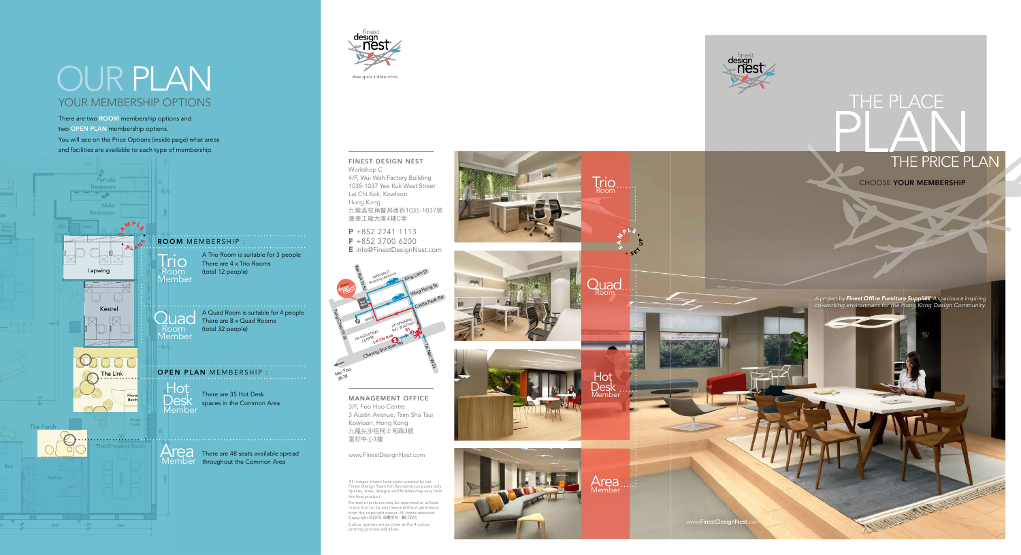CHOOSE YOUR MEMBERSHIP

*A project by* Finest Office Furniture Supplies*. A spacious & inspiring co-working environment for the Hong Kong Design Community.*

ww.**FinestDesignNest**.c

## YOUR MEMBERSHIP OPTIONS OUR PLAN

4/F, Wui Wah Factory Building 1035-1037 Yee Kuk West Street Lai Chi Kok, Kowloon Hong Kong 九龍荔枝角醫局西街1035-1037號 滙華工廠大廈4樓C室





share space I share minds

 $P + 85227411113$ F +852 3700 6200 E info@FinestDesignNest.com

There are two ROOM membership options and two OPEN PLAN membership options. You will see on the Price Options (inside page) what areas and facilities are available to each type of membership.

## FINEST DESIGN NEST Workshop C

MANAGEMENT OFFICE 3/F, Foo Hoo Centre 3 Austin Avenue, Tsim Sha Tsui Kowloon, Hong Kong 九龍尖沙咀柯士甸路 3 號 富好中心 3 樓









![](_page_0_Picture_17.jpeg)

Quad<br>Room

![](_page_0_Picture_18.jpeg)

![](_page_0_Picture_19.jpeg)

# THE PLACE THE PRICE PLAN

www.FinestDesignNest.com

All images shown have been created by our Finest Design Team for illustrative purposes only. Spaces, sizes, designs and finishes may vary from the final product.

No text or pictures may be reprinted or utilised<br>in any form or by any means without permission<br>from the copyright owner. All rights reserved.<br>Copyright ©2018 版權所有 · 翻印必究

Colour options are as close as the 4 colour printing process will allow.